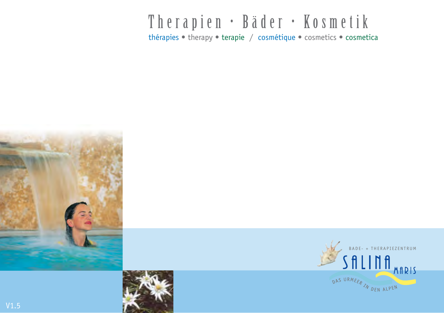# Therapien • Bäder • Kosmetik

thérapies • therapy • terapie / cosmétique • cosmetics • cosmetica





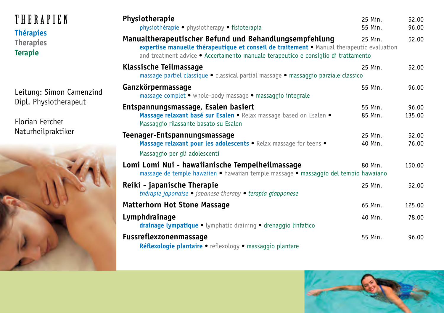| THERAPIEN<br><b>Thérapies</b><br><b>Therapies</b><br><b>Terapie</b>                        | Physiotherapie<br>physiothérapie • physiotherapy • fisioterapia                                                                                                                                                                           | 25 Min.<br>55 Min. | 52.00<br>96.00  |
|--------------------------------------------------------------------------------------------|-------------------------------------------------------------------------------------------------------------------------------------------------------------------------------------------------------------------------------------------|--------------------|-----------------|
|                                                                                            | Manualtherapeutischer Befund und Behandlungsempfehlung<br>expertise manuelle thérapeutique et conseil de traitement · Manual therapeutic evaluation<br>and treatment advice • Accertamento manuale terapeutico e consiglio di trattamento | 25 Min.            | 52.00           |
|                                                                                            | Klassische Teilmassage<br>massage partiel classique · classical partial massage · massaggio parziale classico                                                                                                                             | 25 Min.            | 52.00           |
| Leitung: Simon Camenzind<br>Dipl. Physiotherapeut<br>Florian Fercher<br>Naturheilpraktiker | Ganzkörpermassage<br>massage complet • whole-body massage • massaggio integrale                                                                                                                                                           | 55 Min.            | 96.00           |
|                                                                                            | Entspannungsmassage, Esalen basiert<br>Massage relaxant basé sur Esalen · Relax massage based on Esalen ·<br>Massaggio rilassante basato su Esalen                                                                                        | 55 Min.<br>85 Min. | 96.00<br>135.00 |
|                                                                                            | Teenager-Entspannungsmassage<br>Massage relaxant pour les adolescents . Relax massage for teens .<br>Massaggio per gli adolescenti                                                                                                        | 25 Min.<br>40 Min. | 52.00<br>76.00  |
|                                                                                            | Lomi Lomi Nui - hawaiianische Tempelheilmassage<br>massage de temple hawaiien · hawaiian temple massage · massaggio del tempio hawaiano                                                                                                   | 80 Min.            | 150.00          |
|                                                                                            | Reiki - japanische Therapie<br>thérapie japonaise · japanese therapy · terapia giapponese                                                                                                                                                 | 25 Min.            | 52.00           |
|                                                                                            | <b>Matterhorn Hot Stone Massage</b>                                                                                                                                                                                                       | 65 Min.            | 125.00          |
|                                                                                            | Lymphdrainage<br>drainage lympatique . lymphatic draining . drenaggio linfatico                                                                                                                                                           | 40 Min.            | 78.00           |
|                                                                                            | <b>Fussreflexzonenmassage</b><br>Réflexologie plantaire · reflexology · massaggio plantare                                                                                                                                                | 55 Min.            | 96.00           |

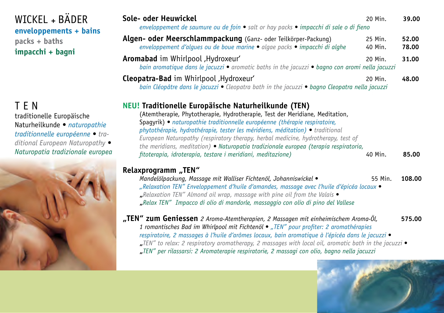| WICKEL + BÄDER<br>enveloppements + bains<br>packs + baths<br>impacchi + bagni                                                                                                       | Sole- oder Heuwickel<br>enveloppement de saumure ou de foin · salt or hay packs · impacchi di sale o di fieno                                                                                                                                                                                                                                                                                                                                                                                                                                         | 20 Min.            | 39.00          |
|-------------------------------------------------------------------------------------------------------------------------------------------------------------------------------------|-------------------------------------------------------------------------------------------------------------------------------------------------------------------------------------------------------------------------------------------------------------------------------------------------------------------------------------------------------------------------------------------------------------------------------------------------------------------------------------------------------------------------------------------------------|--------------------|----------------|
|                                                                                                                                                                                     | Algen- oder Meerschlammpackung (Ganz- oder Teilkörper-Packung)<br>enveloppement d'algues ou de boue marine · algae packs · impacchi di alghe                                                                                                                                                                                                                                                                                                                                                                                                          | 25 Min.<br>40 Min. | 52.00<br>78.00 |
|                                                                                                                                                                                     | Aromabad im Whirlpool, Hydroxeur'<br>bain aromatique dans le jacuzzi · aromatic baths in the jacuzzi · bagno con aromi nella jacuzzi                                                                                                                                                                                                                                                                                                                                                                                                                  | 20 Min.            | 31.00          |
|                                                                                                                                                                                     | Cleopatra-Bad im Whirlpool, Hydroxeur'<br>bain Cléopâtre dans le jacuzzi • Cleopatra bath in the jacuzzi • bagno Cleopatra nella jacuzzi                                                                                                                                                                                                                                                                                                                                                                                                              | 20 Min.            | 48.00          |
| <b>TEN</b><br>traditionelle Europäische<br>Naturheilkunde · naturopathie<br>traditionnelle européenne • tra-<br>ditional European Naturopathy .<br>Naturopatia tradizionale europea | <b>NEU! Traditionelle Europäische Naturheilkunde (TEN)</b><br>(Atemtherapie, Phytotherapie, Hydrotherapie, Test der Meridiane, Meditation,<br>Spagyrik) · naturopathie traditionnelle européenne (thérapie respiratoire,<br>phytothérapie, hydrothérapie, tester les méridiens, méditation) • traditional<br>European Naturopathy (respiratory therapy, herbal medicine, hydrotherapy, test of<br>the meridians, meditation) • Naturopatia tradizionale europea (terapia respiratoria,<br>fitoterapia, idroterapia, testare i meridiani, meditazione) | 40 Min.            | 85.00          |
|                                                                                                                                                                                     | Relaxprogramm "TEN"<br>Mandelölpackung, Massage mit Walliser Fichtenöl, Johanniswickel •<br>"Relaxation TEN" Enveloppement d'huile d'amandes, massage avec l'huile d'épicéa locaux •<br>"Relaxation TEN" Almond oil wrap, massage with pine oil from the Valais •<br>"Relax TEN" Impacco di olio di mandorle, massaggio con olio di pino del Vallese                                                                                                                                                                                                  | 55 Min.            | 108.00         |
|                                                                                                                                                                                     | "TEN" zum Geniessen 2 Aroma-Atemtherapien, 2 Massagen mit einheimischem Aroma-Öl,<br>1 romantisches Bad im Whirlpool mit Fichtenöl • "TEN" pour profiter: 2 aromathérapies<br>respiratoire, 2 massages à l'huile d'arômes locaux, bain aromatique à l'épicéa dans le jacuzzi ●<br>"TEN" to relax: 2 respiratory aromatherapy, 2 massages with local oil, aromatic bath in the jacuzzi .<br>"TEN" per rilassarsi: 2 Aromaterapie respiratorie, 2 massagi con olio, bagno nella jacuzzi                                                                 |                    | 575.00         |
|                                                                                                                                                                                     |                                                                                                                                                                                                                                                                                                                                                                                                                                                                                                                                                       |                    |                |

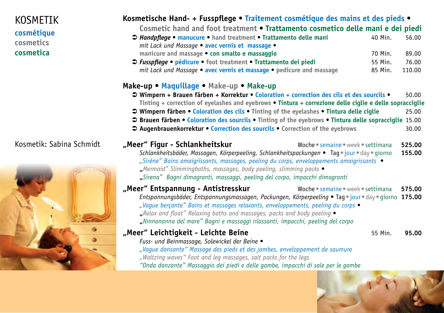### KOSMETIK **cosmétique cosmetics cosmetica**

### Kosmetik: Sabina Schmidt



## **Kosmetische Hand- + Fusspflege • Traitement cosmétique des mains et des pieds •**

**Cosmetic hand and foot treatment • Trattamento cosmetico delle mani e dei piedi**

- Ü *Handpflege* **manucure hand treatment Trattamento delle mani** 40 Min. 56.00 *mit Lack und Massage •* **avec vernis et massage • manicure and massage • con smalto e massaggio** 70 Min. 89.00 Ü *Fusspflege •* **pédicure • foot treatment • Trattamento dei piedi** 55 Min. 76.00
	- *mit Lack und Massage* **avec vernis et massage pedicure and massage** 85 Min. 110.00

#### **Make-up • Maquillage • Make-up • Make-up**

- Ü **Wimpern + Brauen färben + Korrektur Coloration + correction des cils et des sourcils** 50.00 **Tinting + correction of eyelashes and eyebrows • Tintura + correzione delle ciglie e delle sopracciglie** Ü **Wimpern färben • Coloration des cils • Tinting of the eyelashes • Tintura delle ciglie** 25.00
- Ü **Brauen färben Coloration des sourcils Tinting of the eyebrows Tintura delle sopracciglie** 15.00
- Ü **Augenbrauenkorrektur Correction des sourcils Correction of the eyebrows** 30.00

| "Meer" Figur - Schlankheitskur<br>Schlankheitsbäder, Massagen, Körperpeeling, Schlankheitspackungen • Tag • jour • day • giorno<br>"Sirène" Bains amaigrissants, massages, peeling du corps, enveloppements amaigrissants ●<br>"Mermaid" Slimmingbaths, massages, body peeling, slimming packs .<br>"Sirena" Bagni dimagranti, massaggi, peeling del corpo, impacchi dimagranti                           | Woche • semaine • week • settimana | 525.00<br>155.00 |
|-----------------------------------------------------------------------------------------------------------------------------------------------------------------------------------------------------------------------------------------------------------------------------------------------------------------------------------------------------------------------------------------------------------|------------------------------------|------------------|
| "Meer" Entspannung - Antistresskur<br>Entspannungsbäder, Entspannungsmassagen, Packungen, Körperpeeling • Tag · jour · day · giorno 175.00<br>"Vague berçante" Bains et massages relaxants, enveloppements, peeling du corps •<br>$_{n}$ Relax and float" Relaxing baths and massages, packs and body peeling $\bullet$<br>"Ninnananna del mare" Bagni e massaggi rilassanti, impacchi, peeling del corpo | Woche • semaine • week • settimana | 575.00           |
| "Meer" Leichtigkeit - Leichte Beine<br>Fuss- und Beinmassage, Solewickel der Beine ·                                                                                                                                                                                                                                                                                                                      | 55 Min.                            | 95.00            |

- *"Vague dansante" Massage des pieds et des jambes, enveloppement de saumure*
- *"Waltzing waves" Foot and leg massages, salt packs for the legs*
- *"Onda danzante" Massaggio dei piedi e delle gambe, impacchi di sale per le gambe*

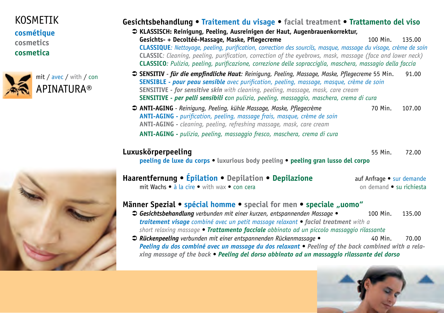# KOSMETIK

**cosmétique cosmetics cosmetica**





### **Gesichtsbehandlung • Traitement du visage • facial treatment • Trattamento del viso**

- Ü **KLASSISCH: Reinigung, Peeling, Ausreinigen der Haut, Augenbrauenkorrektur, Gesichts- + Decoltéé-Massage, Maske, Pflegecreme** 100 Min. 135.00 **CLASSIQUE***: Nettoyage, peeling, purification, correction des sourcils, masque, massage du visage, crème de soin* **CLASSIC***: Cleaning, peeling, purification, correction of the eyebrows, mask, massage (face and lower neck)* **CLASSICO***: Pulizia, peeling, purificazione, correzione delle sopracciglia, maschera, massagio della faccia*
- Ü **SENSITIV** *für die empfindliche Haut: Reinigung, Peeling, Massage, Maske, Pflegecreme* 55 Min. 91.00 **SENSIBLE** *- pour peau sensible avec purification, peeling, massage, masque, crème de soin* **SENSITIVE** *- for sensitive skin with cleaning, peeling, massage, mask, care cream* **SENSITIVE** *- per pelli sensibili con pulizia, peeling, massaggio, maschera, crema di cura*
- Ü **ANTI-AGING** *Reinigung, Peeling, kühle Massage, Maske, Pflegecrème* 70 Min. 107.00 **ANTI-AGING** *- purification, peeling, massage frais, masque, crème de soin* **ANTI-AGING** *- cleaning, peeling, refreshing massage, mask, care cream* **ANTI-AGING** *- pulizia, peeling, massaggio fresco, maschera, crema di cura*

### **Luxuskörperpeeling** 55 Min. 72.00

**peeling de luxe du corps • luxurious body peeling • peeling gran lusso del corpo**

| Haarentfernung • Epilation • Depilation • Depilazione | auf Anfrage • sur demande |
|-------------------------------------------------------|---------------------------|
| <b>mit Wachs • à la cire •</b> with wax • con cera    | on demand ● su richiesta  |

### **Männer Spezial • spécial homme •** special for men • speciale "uomo"

- Ü *Gesichtsbehandlung verbunden mit einer kurzen, entspannenden Massage •* 100 Min. 135.00 *traitement visage combiné avec un petit massage relaxant • facial treatment with a short relaxing massage • Trattamento facciale abbinato ad un piccolo massaggio rilassante*
- Ü *Rückenpeeling verbunden mit einer entspannenden Rückenmassage •* 40 Min. 70.00 *Peeling du dos combiné avec un massage du dos relaxant • Peeling of the back combined with a relaxing massage of the back • Peeling del dorso abbinato ad un massaggio rilassante del dorso*